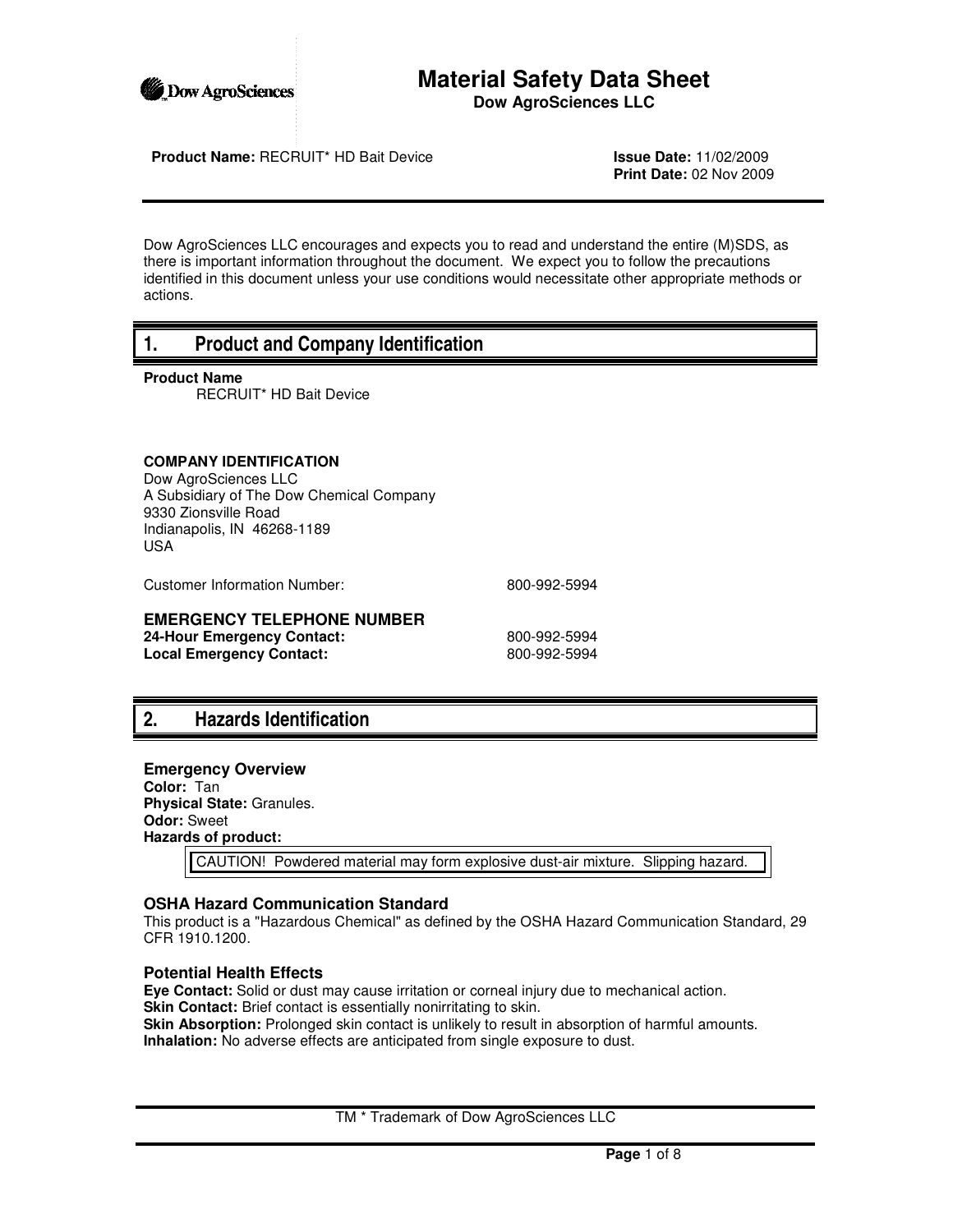

## **Material Safety Data Sheet Dow AgroSciences LLC**

**Product Name:** RECRUIT\* HD Bait Device **Issue Date:** 11/02/2009

**Print Date:** 02 Nov 2009

Dow AgroSciences LLC encourages and expects you to read and understand the entire (M)SDS, as there is important information throughout the document. We expect you to follow the precautions identified in this document unless your use conditions would necessitate other appropriate methods or actions.

# **1. Product and Company Identification**

**Product Name**

RECRUIT\* HD Bait Device

#### **COMPANY IDENTIFICATION**

Dow AgroSciences LLC A Subsidiary of The Dow Chemical Company 9330 Zionsville Road Indianapolis, IN 46268-1189 USA

Customer Information Number: 800-992-5994

### **EMERGENCY TELEPHONE NUMBER**

**24-Hour Emergency Contact:** 800-992-5994 Local Emergency Contact: 800-992-5994

# **2. Hazards Identification**

**Emergency Overview Color:** Tan **Physical State:** Granules. **Odor:** Sweet

**Hazards of product:**

CAUTION! Powdered material may form explosive dust-air mixture. Slipping hazard.

#### **OSHA Hazard Communication Standard**

This product is a "Hazardous Chemical" as defined by the OSHA Hazard Communication Standard, 29 CFR 1910.1200.

#### **Potential Health Effects**

**Eye Contact:** Solid or dust may cause irritation or corneal injury due to mechanical action. **Skin Contact:** Brief contact is essentially nonirritating to skin. **Skin Absorption:** Prolonged skin contact is unlikely to result in absorption of harmful amounts. **Inhalation:** No adverse effects are anticipated from single exposure to dust.

TM \* Trademark of Dow AgroSciences LLC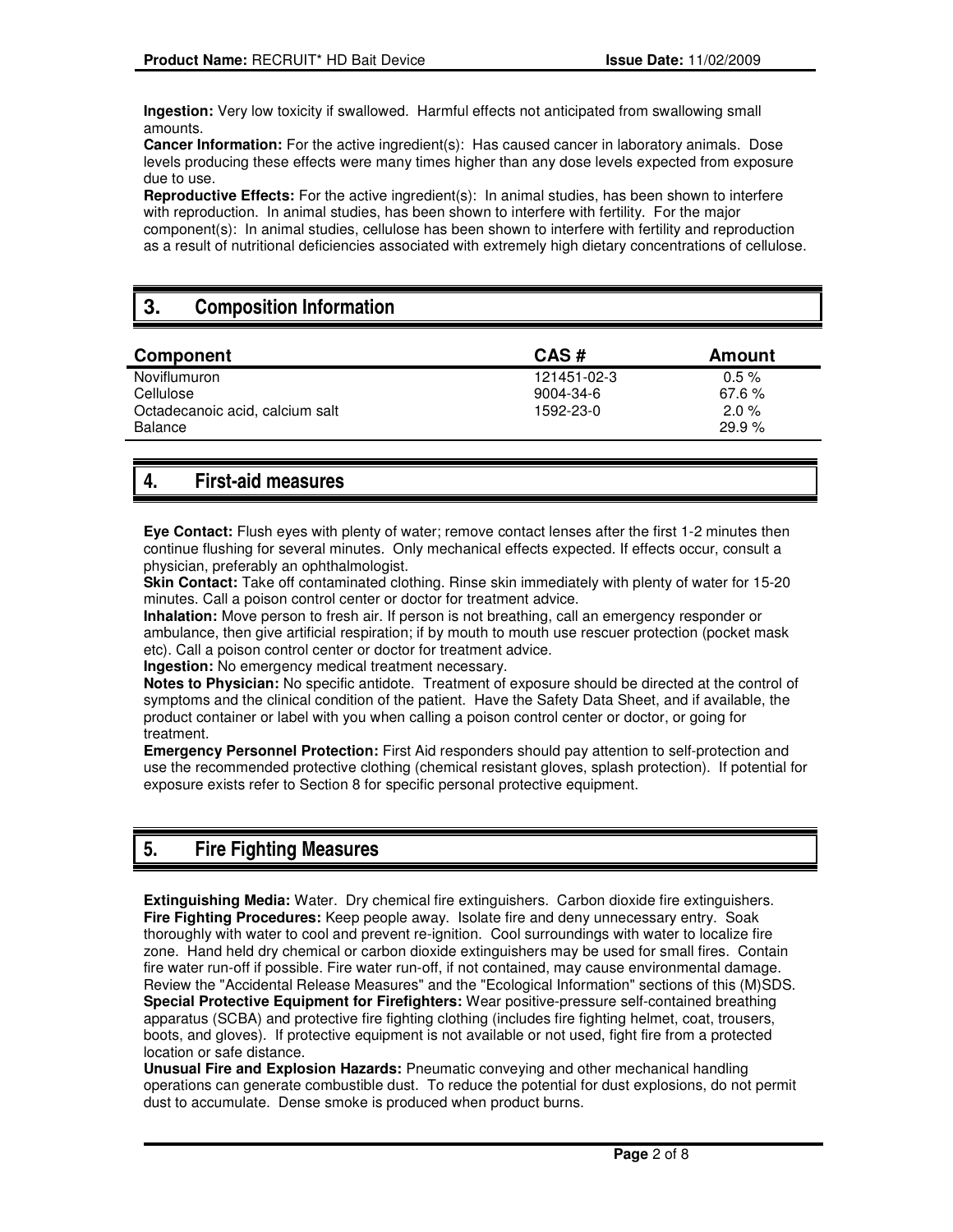**Ingestion:** Very low toxicity if swallowed. Harmful effects not anticipated from swallowing small amounts.

**Cancer Information:** For the active ingredient(s): Has caused cancer in laboratory animals. Dose levels producing these effects were many times higher than any dose levels expected from exposure due to use.

**Reproductive Effects:** For the active ingredient(s): In animal studies, has been shown to interfere with reproduction. In animal studies, has been shown to interfere with fertility. For the major component(s): In animal studies, cellulose has been shown to interfere with fertility and reproduction as a result of nutritional deficiencies associated with extremely high dietary concentrations of cellulose.

# **3. Composition Information**

| Component                                  | CAS#        | Amount            |
|--------------------------------------------|-------------|-------------------|
| Noviflumuron                               | 121451-02-3 | $0.5 \%$          |
| Cellulose                                  | 9004-34-6   | $67.6 \%$         |
| Octadecanoic acid, calcium salt<br>Balance | 1592-23-0   | $2.0 \%$<br>29.9% |

# **4. First-aid measures**

**Eye Contact:** Flush eyes with plenty of water; remove contact lenses after the first 1-2 minutes then continue flushing for several minutes. Only mechanical effects expected. If effects occur, consult a physician, preferably an ophthalmologist.

**Skin Contact:** Take off contaminated clothing. Rinse skin immediately with plenty of water for 15-20 minutes. Call a poison control center or doctor for treatment advice.

**Inhalation:** Move person to fresh air. If person is not breathing, call an emergency responder or ambulance, then give artificial respiration; if by mouth to mouth use rescuer protection (pocket mask etc). Call a poison control center or doctor for treatment advice.

**Ingestion:** No emergency medical treatment necessary.

**Notes to Physician:** No specific antidote. Treatment of exposure should be directed at the control of symptoms and the clinical condition of the patient. Have the Safety Data Sheet, and if available, the product container or label with you when calling a poison control center or doctor, or going for treatment.

**Emergency Personnel Protection:** First Aid responders should pay attention to self-protection and use the recommended protective clothing (chemical resistant gloves, splash protection). If potential for exposure exists refer to Section 8 for specific personal protective equipment.

# **5. Fire Fighting Measures**

**Extinguishing Media:** Water. Dry chemical fire extinguishers. Carbon dioxide fire extinguishers. **Fire Fighting Procedures:** Keep people away. Isolate fire and deny unnecessary entry. Soak thoroughly with water to cool and prevent re-ignition. Cool surroundings with water to localize fire zone. Hand held dry chemical or carbon dioxide extinguishers may be used for small fires. Contain fire water run-off if possible. Fire water run-off, if not contained, may cause environmental damage. Review the "Accidental Release Measures" and the "Ecological Information" sections of this (M)SDS. **Special Protective Equipment for Firefighters:** Wear positive-pressure self-contained breathing apparatus (SCBA) and protective fire fighting clothing (includes fire fighting helmet, coat, trousers, boots, and gloves). If protective equipment is not available or not used, fight fire from a protected location or safe distance.

**Unusual Fire and Explosion Hazards:** Pneumatic conveying and other mechanical handling operations can generate combustible dust. To reduce the potential for dust explosions, do not permit dust to accumulate. Dense smoke is produced when product burns.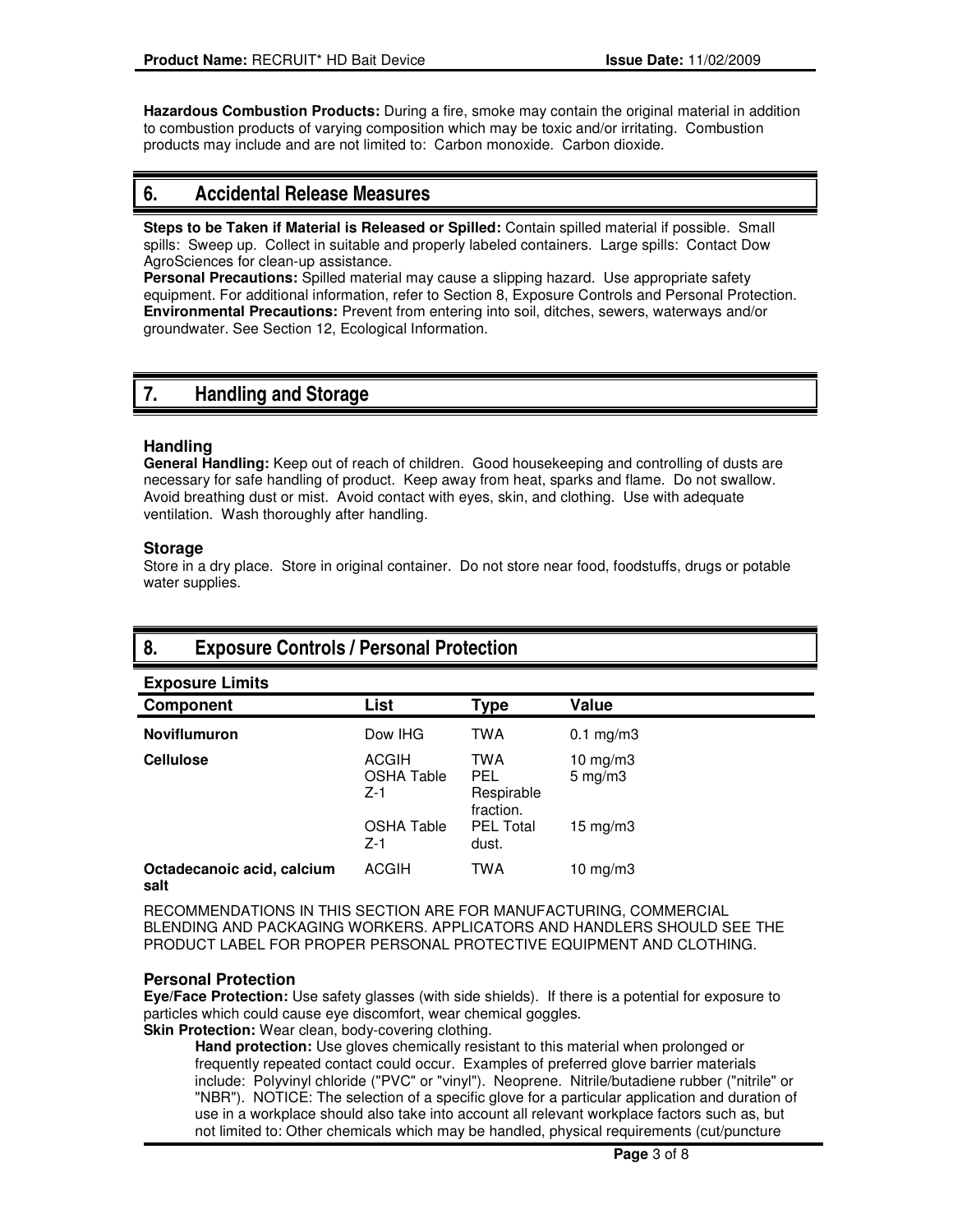**Hazardous Combustion Products:** During a fire, smoke may contain the original material in addition to combustion products of varying composition which may be toxic and/or irritating. Combustion products may include and are not limited to: Carbon monoxide. Carbon dioxide.

# **6. Accidental Release Measures**

**Steps to be Taken if Material is Released or Spilled:** Contain spilled material if possible. Small spills: Sweep up. Collect in suitable and properly labeled containers. Large spills: Contact Dow AgroSciences for clean-up assistance.

**Personal Precautions:** Spilled material may cause a slipping hazard. Use appropriate safety equipment. For additional information, refer to Section 8, Exposure Controls and Personal Protection. **Environmental Precautions:** Prevent from entering into soil, ditches, sewers, waterways and/or groundwater. See Section 12, Ecological Information.

# **7. Handling and Storage**

#### **Handling**

**General Handling:** Keep out of reach of children. Good housekeeping and controlling of dusts are necessary for safe handling of product. Keep away from heat, sparks and flame. Do not swallow. Avoid breathing dust or mist. Avoid contact with eyes, skin, and clothing. Use with adequate ventilation. Wash thoroughly after handling.

#### **Storage**

Store in a dry place. Store in original container. Do not store near food, foodstuffs, drugs or potable water supplies.

# **8. Exposure Controls / Personal Protection**

| <b>Exposure Limits</b>             |                                            |                                              |                                  |
|------------------------------------|--------------------------------------------|----------------------------------------------|----------------------------------|
| <b>Component</b>                   | <b>List</b>                                | <b>Type</b>                                  | Value                            |
| <b>Noviflumuron</b>                | Dow IHG                                    | <b>TWA</b>                                   | $0.1$ mg/m $3$                   |
| <b>Cellulose</b>                   | <b>ACGIH</b><br><b>OSHA Table</b><br>$Z-1$ | <b>TWA</b><br>PEL<br>Respirable<br>fraction. | 10 $mg/m3$<br>$5 \text{ mg/m}$ 3 |
|                                    | <b>OSHA Table</b><br>$Z-1$                 | <b>PEL Total</b><br>dust.                    | 15 mg/m $3$                      |
| Octadecanoic acid, calcium<br>salt | <b>ACGIH</b>                               | <b>TWA</b>                                   | 10 $mg/m3$                       |

RECOMMENDATIONS IN THIS SECTION ARE FOR MANUFACTURING, COMMERCIAL BLENDING AND PACKAGING WORKERS. APPLICATORS AND HANDLERS SHOULD SEE THE PRODUCT LABEL FOR PROPER PERSONAL PROTECTIVE EQUIPMENT AND CLOTHING.

### **Personal Protection**

**Eye/Face Protection:** Use safety glasses (with side shields). If there is a potential for exposure to particles which could cause eye discomfort, wear chemical goggles.

**Skin Protection:** Wear clean, body-covering clothing.

**Hand protection:** Use gloves chemically resistant to this material when prolonged or frequently repeated contact could occur. Examples of preferred glove barrier materials include: Polyvinyl chloride ("PVC" or "vinyl"). Neoprene. Nitrile/butadiene rubber ("nitrile" or "NBR"). NOTICE: The selection of a specific glove for a particular application and duration of use in a workplace should also take into account all relevant workplace factors such as, but not limited to: Other chemicals which may be handled, physical requirements (cut/puncture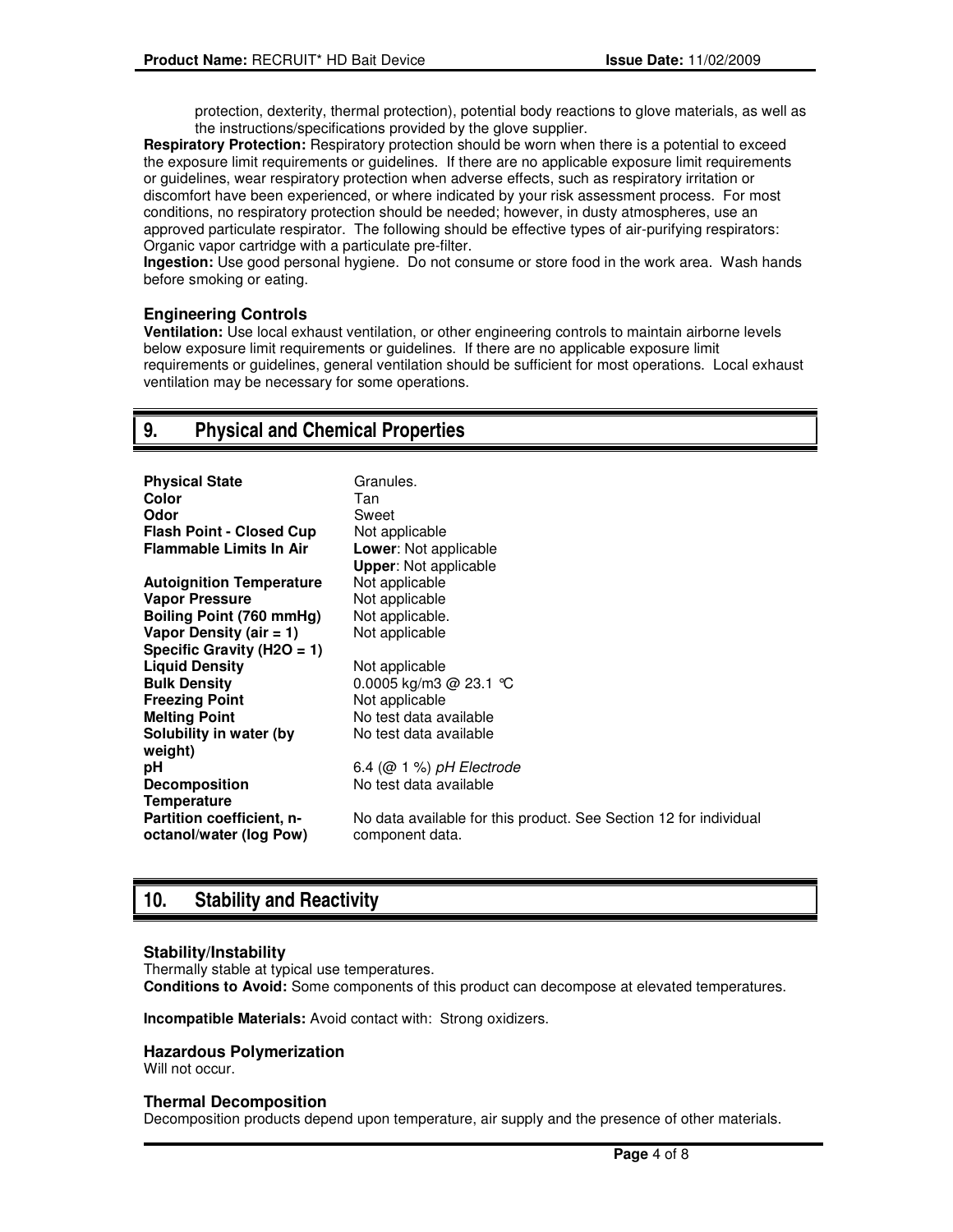protection, dexterity, thermal protection), potential body reactions to glove materials, as well as the instructions/specifications provided by the glove supplier.

**Respiratory Protection:** Respiratory protection should be worn when there is a potential to exceed the exposure limit requirements or guidelines. If there are no applicable exposure limit requirements or guidelines, wear respiratory protection when adverse effects, such as respiratory irritation or discomfort have been experienced, or where indicated by your risk assessment process. For most conditions, no respiratory protection should be needed; however, in dusty atmospheres, use an approved particulate respirator. The following should be effective types of air-purifying respirators: Organic vapor cartridge with a particulate pre-filter.

**Ingestion:** Use good personal hygiene. Do not consume or store food in the work area. Wash hands before smoking or eating.

#### **Engineering Controls**

**Ventilation:** Use local exhaust ventilation, or other engineering controls to maintain airborne levels below exposure limit requirements or guidelines. If there are no applicable exposure limit requirements or guidelines, general ventilation should be sufficient for most operations. Local exhaust ventilation may be necessary for some operations.

# **9. Physical and Chemical Properties**

| <b>Physical State</b><br>Color<br>Odor<br><b>Flash Point - Closed Cup</b><br><b>Flammable Limits In Air</b> | Granules.<br>Tan<br>Sweet<br>Not applicable<br><b>Lower:</b> Not applicable<br><b>Upper: Not applicable</b> |
|-------------------------------------------------------------------------------------------------------------|-------------------------------------------------------------------------------------------------------------|
| <b>Autoignition Temperature</b>                                                                             | Not applicable                                                                                              |
| <b>Vapor Pressure</b>                                                                                       | Not applicable                                                                                              |
| Boiling Point (760 mmHg)                                                                                    | Not applicable.                                                                                             |
| Vapor Density (air $= 1$ )                                                                                  | Not applicable                                                                                              |
| Specific Gravity (H2O = 1)                                                                                  |                                                                                                             |
| <b>Liquid Density</b>                                                                                       | Not applicable                                                                                              |
| <b>Bulk Density</b>                                                                                         | 0.0005 kg/m3 @ 23.1 °C                                                                                      |
| <b>Freezing Point</b>                                                                                       | Not applicable                                                                                              |
| <b>Melting Point</b>                                                                                        | No test data available                                                                                      |
| Solubility in water (by<br>weight)                                                                          | No test data available                                                                                      |
| рH                                                                                                          | $6.4$ ( $@$ 1 %) pH Electrode                                                                               |
| <b>Decomposition</b><br><b>Temperature</b>                                                                  | No test data available                                                                                      |
| Partition coefficient, n-<br>octanol/water (log Pow)                                                        | No data available for this product. See Section 12 for individual<br>component data.                        |

# **10. Stability and Reactivity**

#### **Stability/Instability**

Thermally stable at typical use temperatures. **Conditions to Avoid:** Some components of this product can decompose at elevated temperatures.

**Incompatible Materials:** Avoid contact with: Strong oxidizers.

#### **Hazardous Polymerization**

Will not occur.

#### **Thermal Decomposition**

Decomposition products depend upon temperature, air supply and the presence of other materials.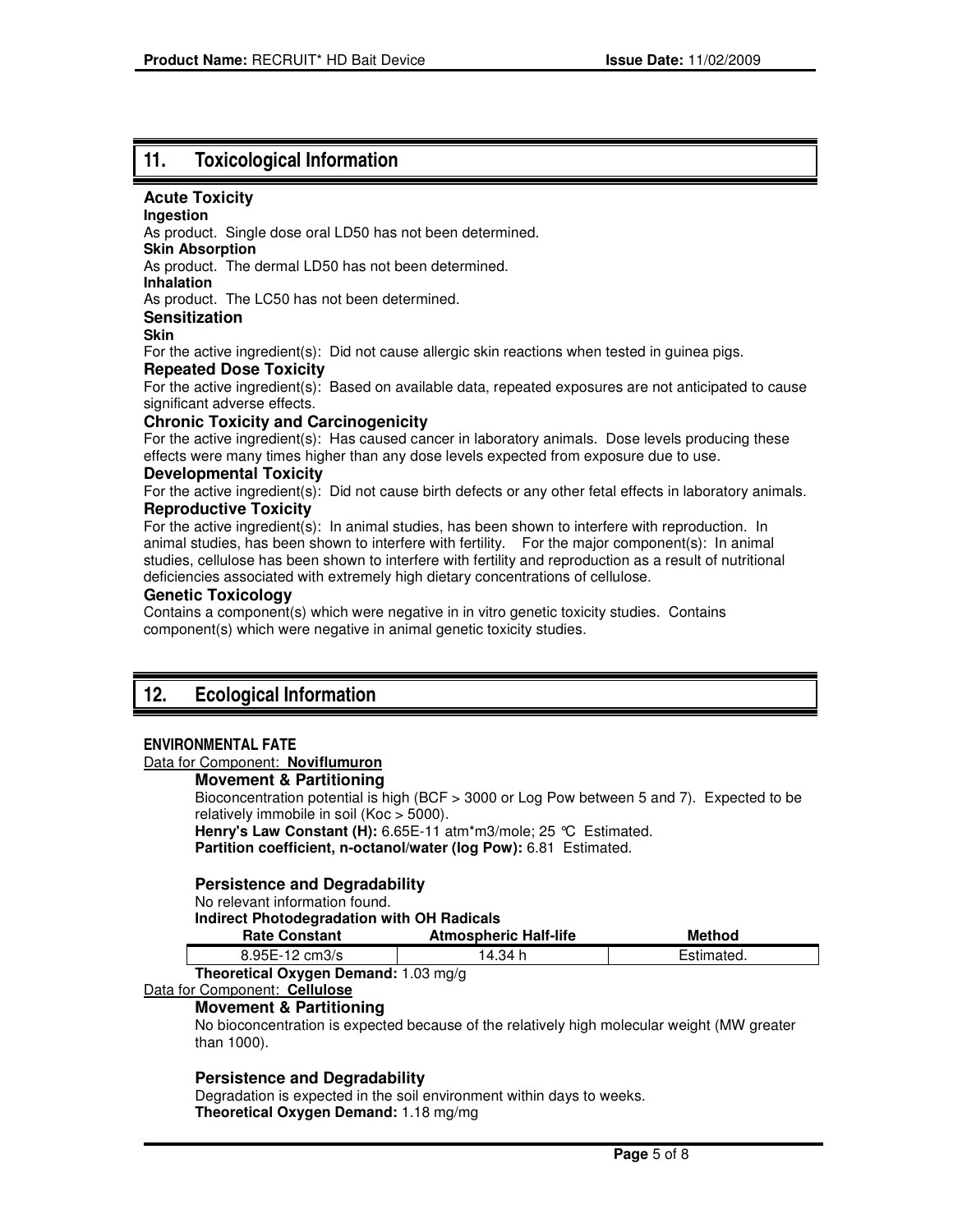# **11. Toxicological Information**

#### **Acute Toxicity**

#### **Ingestion**

As product. Single dose oral LD50 has not been determined.

**Skin Absorption** 

As product. The dermal LD50 has not been determined.

**Inhalation** 

As product. The LC50 has not been determined.

#### **Sensitization**

#### **Skin**

For the active ingredient(s): Did not cause allergic skin reactions when tested in guinea pigs.

#### **Repeated Dose Toxicity**

For the active ingredient(s): Based on available data, repeated exposures are not anticipated to cause significant adverse effects.

#### **Chronic Toxicity and Carcinogenicity**

For the active ingredient(s): Has caused cancer in laboratory animals. Dose levels producing these effects were many times higher than any dose levels expected from exposure due to use.

#### **Developmental Toxicity**

For the active ingredient(s): Did not cause birth defects or any other fetal effects in laboratory animals. **Reproductive Toxicity**

For the active ingredient(s): In animal studies, has been shown to interfere with reproduction. In animal studies, has been shown to interfere with fertility. For the major component(s): In animal studies, cellulose has been shown to interfere with fertility and reproduction as a result of nutritional deficiencies associated with extremely high dietary concentrations of cellulose.

#### **Genetic Toxicology**

Contains a component(s) which were negative in in vitro genetic toxicity studies. Contains component(s) which were negative in animal genetic toxicity studies.

# **12. Ecological Information**

#### **ENVIRONMENTAL FATE**

#### Data for Component: **Noviflumuron**

#### **Movement & Partitioning**

Bioconcentration potential is high (BCF > 3000 or Log Pow between 5 and 7). Expected to be relatively immobile in soil (Koc > 5000). **Henry's Law Constant (H):** 6.65E-11 atm\*m3/mole; 25 °C Estimated.

**Partition coefficient, n-octanol/water (log Pow):** 6.81 Estimated.

#### **Persistence and Degradability**

No relevant information found.

#### **Indirect Photodegradation with OH Radicals**

| <b>Rate Constant</b>                               | <b>Atmospheric Half-life</b> | Method     |
|----------------------------------------------------|------------------------------|------------|
| $8.95E - 12$ cm $3/s$                              | 14.34 h                      | Estimated. |
| The contract Organization Department of OO and the |                              |            |

### **Theoretical Oxygen Demand:** 1.03 mg/g

## Data for Component: **Cellulose**

### **Movement & Partitioning**

No bioconcentration is expected because of the relatively high molecular weight (MW greater than 1000).

#### **Persistence and Degradability**

Degradation is expected in the soil environment within days to weeks. **Theoretical Oxygen Demand:** 1.18 mg/mg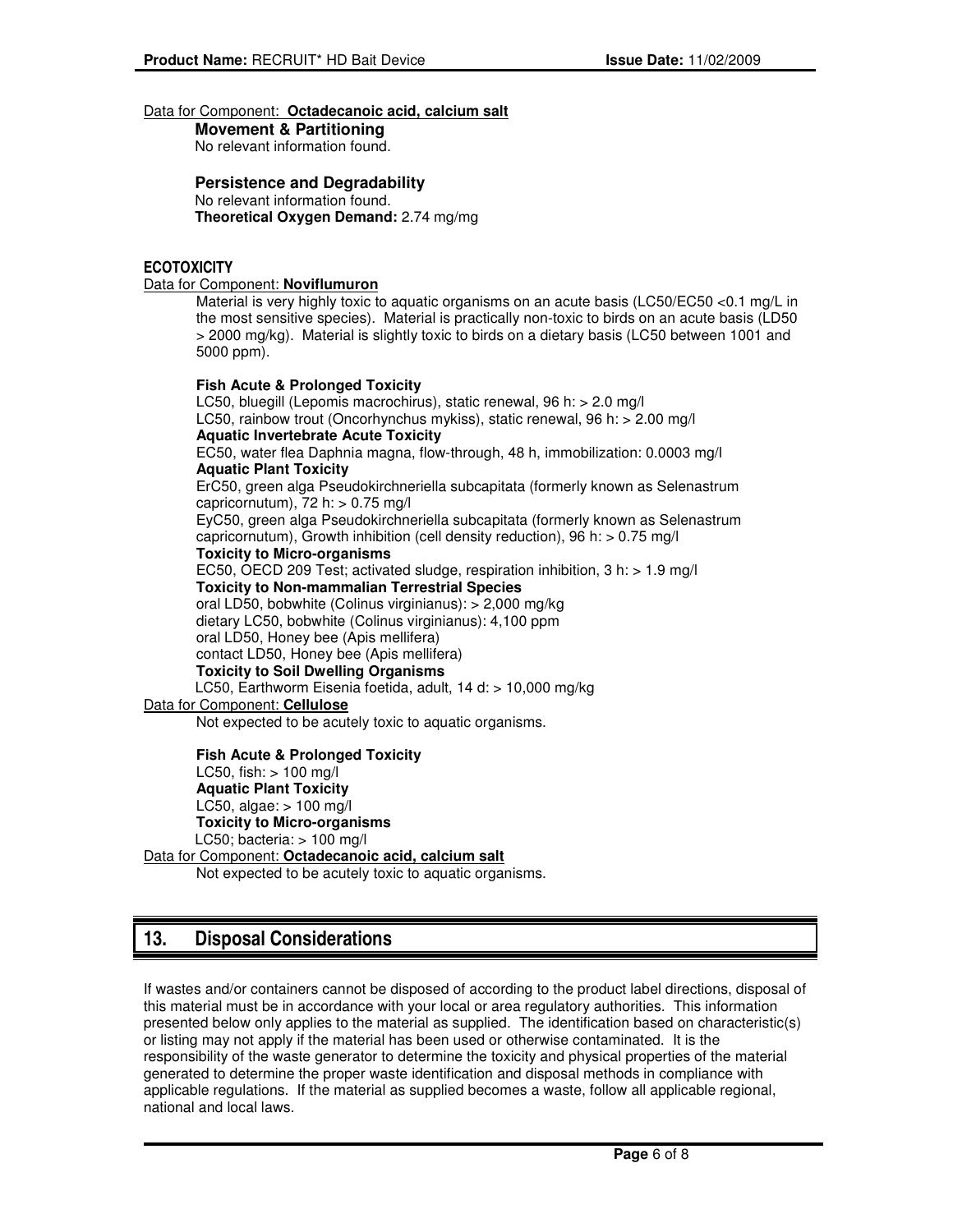#### Data for Component: **Octadecanoic acid, calcium salt**

**Movement & Partitioning**  No relevant information found.

**Persistence and Degradability** 

No relevant information found. **Theoretical Oxygen Demand:** 2.74 mg/mg

#### **ECOTOXICITY**

#### Data for Component: **Noviflumuron**

Material is very highly toxic to aquatic organisms on an acute basis (LC50/EC50 <0.1 mg/L in the most sensitive species). Material is practically non-toxic to birds on an acute basis (LD50 > 2000 mg/kg). Material is slightly toxic to birds on a dietary basis (LC50 between 1001 and 5000 ppm).

**Fish Acute & Prolonged Toxicity**  LC50, bluegill (Lepomis macrochirus), static renewal, 96 h: > 2.0 mg/l LC50, rainbow trout (Oncorhynchus mykiss), static renewal, 96 h: > 2.00 mg/l **Aquatic Invertebrate Acute Toxicity**  EC50, water flea Daphnia magna, flow-through, 48 h, immobilization: 0.0003 mg/l **Aquatic Plant Toxicity**  ErC50, green alga Pseudokirchneriella subcapitata (formerly known as Selenastrum capricornutum),  $72 h:$   $> 0.75 mg/l$ EyC50, green alga Pseudokirchneriella subcapitata (formerly known as Selenastrum capricornutum), Growth inhibition (cell density reduction), 96 h: > 0.75 mg/l **Toxicity to Micro-organisms**  EC50, OECD 209 Test; activated sludge, respiration inhibition, 3 h: > 1.9 mg/l **Toxicity to Non-mammalian Terrestrial Species**  oral LD50, bobwhite (Colinus virginianus): > 2,000 mg/kg dietary LC50, bobwhite (Colinus virginianus): 4,100 ppm oral LD50, Honey bee (Apis mellifera) contact LD50, Honey bee (Apis mellifera) **Toxicity to Soil Dwelling Organisms**  LC50, Earthworm Eisenia foetida, adult, 14 d: > 10,000 mg/kg Data for Component: **Cellulose** Not expected to be acutely toxic to aquatic organisms.

**Fish Acute & Prolonged Toxicity**  LC50, fish:  $> 100$  mg/l **Aquatic Plant Toxicity**  LC50, algae:  $> 100$  mg/l **Toxicity to Micro-organisms**  LC50; bacteria:  $> 100$  mg/l

Data for Component: **Octadecanoic acid, calcium salt** Not expected to be acutely toxic to aquatic organisms.

# **13. Disposal Considerations**

If wastes and/or containers cannot be disposed of according to the product label directions, disposal of this material must be in accordance with your local or area regulatory authorities. This information presented below only applies to the material as supplied. The identification based on characteristic(s) or listing may not apply if the material has been used or otherwise contaminated. It is the responsibility of the waste generator to determine the toxicity and physical properties of the material generated to determine the proper waste identification and disposal methods in compliance with applicable regulations. If the material as supplied becomes a waste, follow all applicable regional, national and local laws.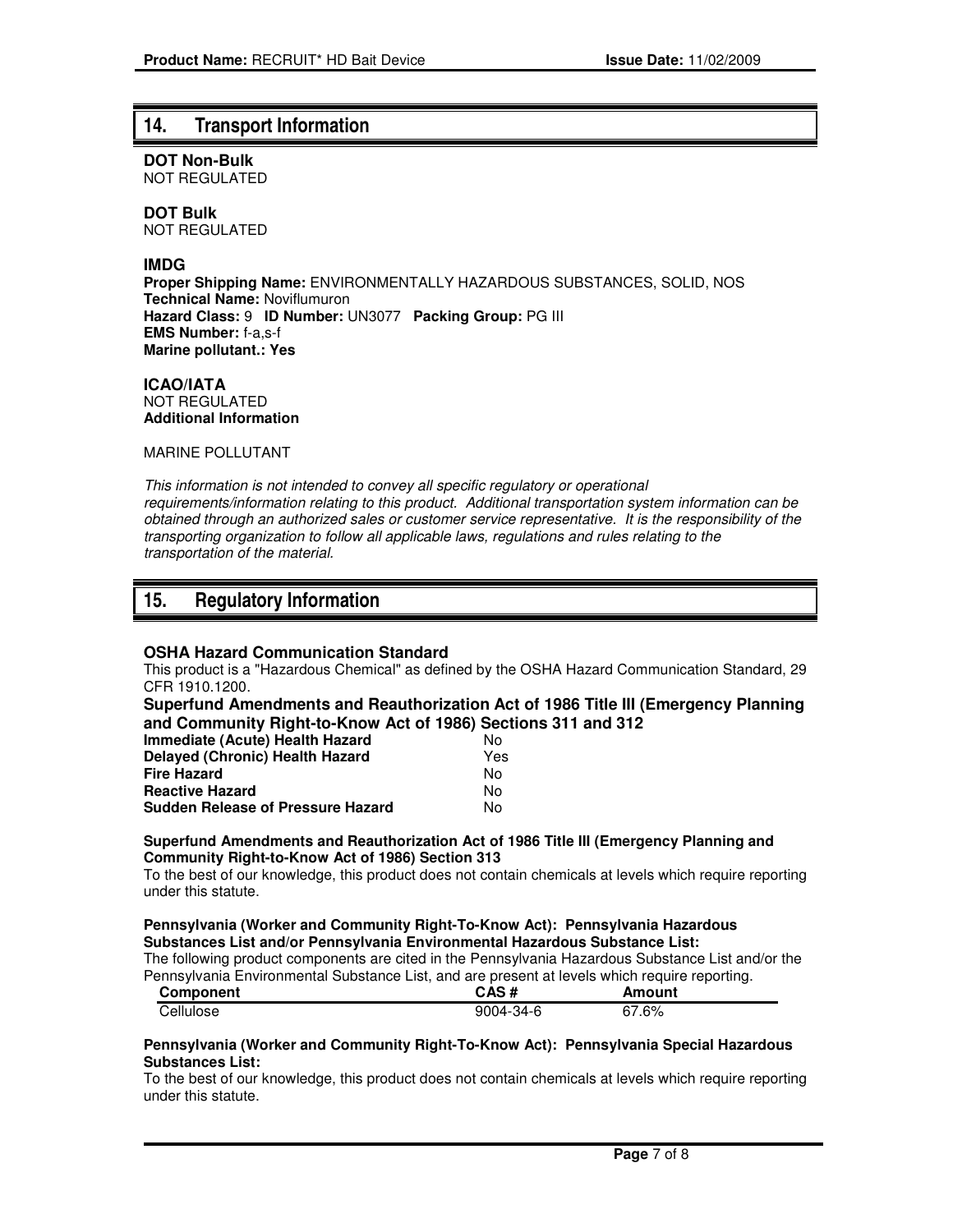## **14. Transport Information**

**DOT Non-Bulk** NOT REGULATED

**DOT Bulk**

NOT REGULATED

#### **IMDG**

**Proper Shipping Name:** ENVIRONMENTALLY HAZARDOUS SUBSTANCES, SOLID, NOS **Technical Name:** Noviflumuron **Hazard Class:** 9 **ID Number:** UN3077 **Packing Group:** PG III **EMS Number:** f-a,s-f **Marine pollutant.: Yes**

**ICAO/IATA** NOT REGULATED **Additional Information**

MARINE POLLUTANT

This information is not intended to convey all specific regulatory or operational requirements/information relating to this product. Additional transportation system information can be obtained through an authorized sales or customer service representative. It is the responsibility of the transporting organization to follow all applicable laws, regulations and rules relating to the transportation of the material.

## **15. Regulatory Information**

#### **OSHA Hazard Communication Standard**

This product is a "Hazardous Chemical" as defined by the OSHA Hazard Communication Standard, 29 CFR 1910.1200.

**Superfund Amendments and Reauthorization Act of 1986 Title III (Emergency Planning and Community Right-to-Know Act of 1986) Sections 311 and 312**

| Immediate (Acute) Health Hazard          | N٥  |
|------------------------------------------|-----|
| <b>Delayed (Chronic) Health Hazard</b>   | Yes |
| <b>Fire Hazard</b>                       | N٥  |
| <b>Reactive Hazard</b>                   | N٥  |
| <b>Sudden Release of Pressure Hazard</b> | N٥  |

#### **Superfund Amendments and Reauthorization Act of 1986 Title III (Emergency Planning and Community Right-to-Know Act of 1986) Section 313**

To the best of our knowledge, this product does not contain chemicals at levels which require reporting under this statute.

#### **Pennsylvania (Worker and Community Right-To-Know Act): Pennsylvania Hazardous Substances List and/or Pennsylvania Environmental Hazardous Substance List:**

The following product components are cited in the Pennsylvania Hazardous Substance List and/or the Pennsylvania Environmental Substance List, and are present at levels which require reporting.

| Component | CAS#            | Amount |
|-----------|-----------------|--------|
| Cellulose | $9004 - 34 - 6$ | 67.6%  |

#### **Pennsylvania (Worker and Community Right-To-Know Act): Pennsylvania Special Hazardous Substances List:**

To the best of our knowledge, this product does not contain chemicals at levels which require reporting under this statute.